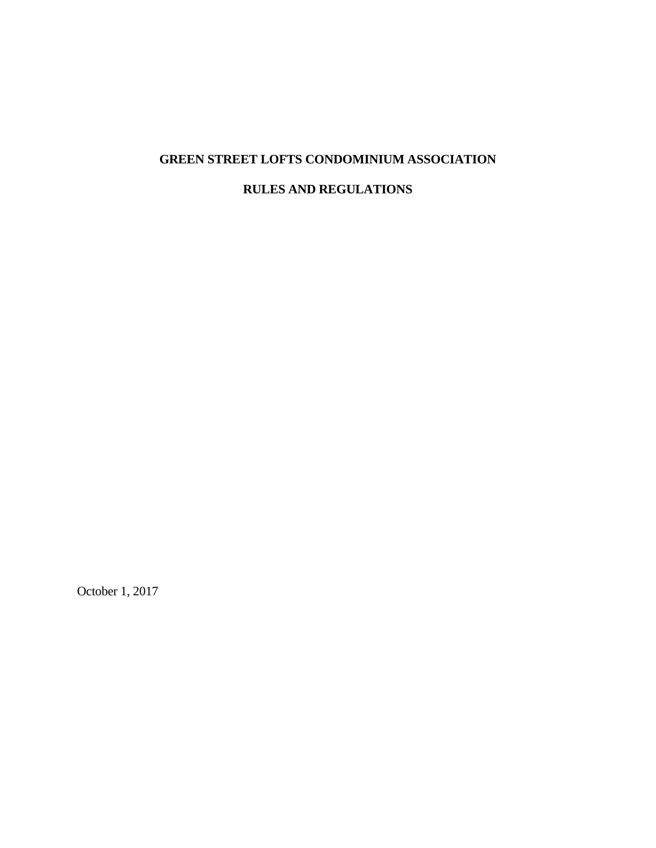# **GREEN STREET LOFTS CONDOMINIUM ASSOCIATION**

# **RULES AND REGULATIONS**

October 1, 2017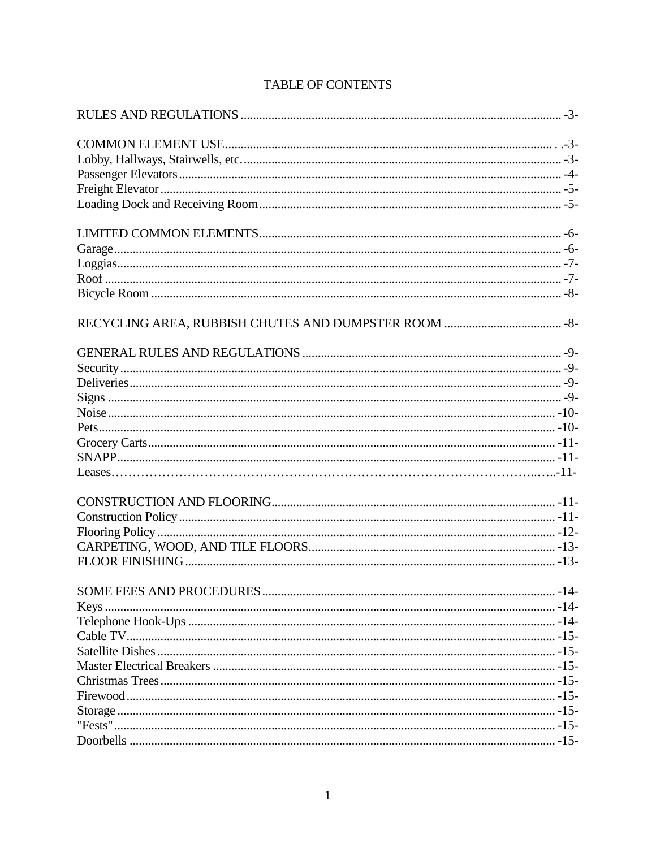# TABLE OF CONTENTS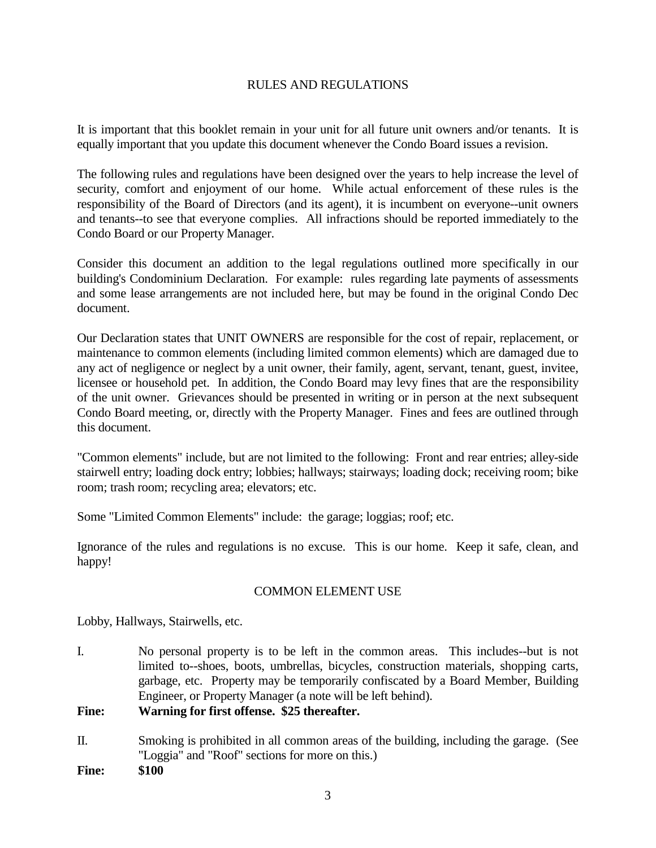# RULES AND REGULATIONS

It is important that this booklet remain in your unit for all future unit owners and/or tenants. It is equally important that you update this document whenever the Condo Board issues a revision.

The following rules and regulations have been designed over the years to help increase the level of security, comfort and enjoyment of our home. While actual enforcement of these rules is the responsibility of the Board of Directors (and its agent), it is incumbent on everyone--unit owners and tenants--to see that everyone complies. All infractions should be reported immediately to the Condo Board or our Property Manager.

Consider this document an addition to the legal regulations outlined more specifically in our building's Condominium Declaration. For example: rules regarding late payments of assessments and some lease arrangements are not included here, but may be found in the original Condo Dec document.

Our Declaration states that UNIT OWNERS are responsible for the cost of repair, replacement, or maintenance to common elements (including limited common elements) which are damaged due to any act of negligence or neglect by a unit owner, their family, agent, servant, tenant, guest, invitee, licensee or household pet. In addition, the Condo Board may levy fines that are the responsibility of the unit owner. Grievances should be presented in writing or in person at the next subsequent Condo Board meeting, or, directly with the Property Manager. Fines and fees are outlined through this document.

"Common elements" include, but are not limited to the following: Front and rear entries; alley-side stairwell entry; loading dock entry; lobbies; hallways; stairways; loading dock; receiving room; bike room; trash room; recycling area; elevators; etc.

Some "Limited Common Elements" include: the garage; loggias; roof; etc.

Ignorance of the rules and regulations is no excuse. This is our home. Keep it safe, clean, and happy!

# COMMON ELEMENT USE

Lobby, Hallways, Stairwells, etc.

I. No personal property is to be left in the common areas. This includes--but is not limited to--shoes, boots, umbrellas, bicycles, construction materials, shopping carts, garbage, etc. Property may be temporarily confiscated by a Board Member, Building Engineer, or Property Manager (a note will be left behind).

# **Fine: Warning for first offense. \$25 thereafter.**

II. Smoking is prohibited in all common areas of the building, including the garage. (See "Loggia" and "Roof" sections for more on this.)

**Fine: \$100**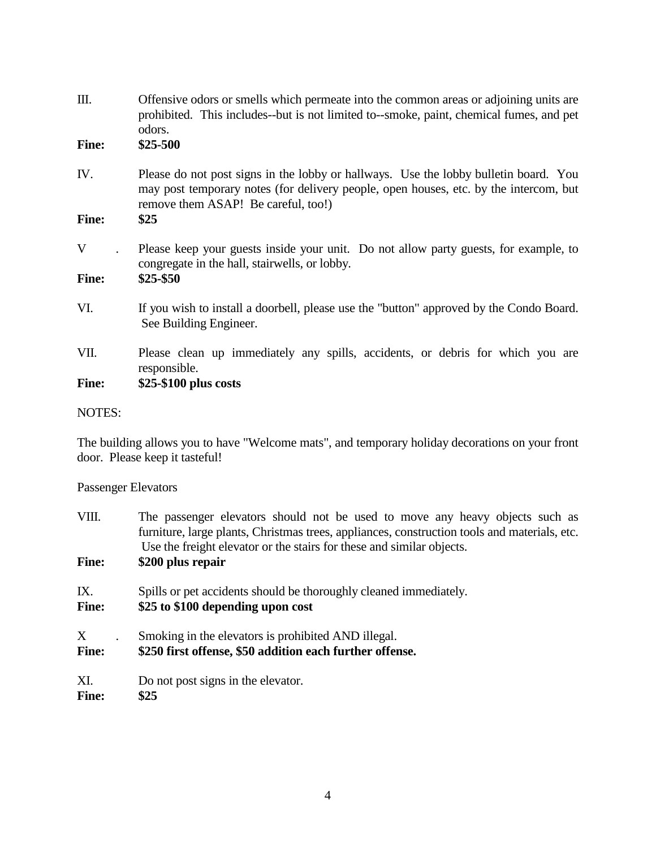| Ш.           | Offensive odors or smells which permeate into the common areas or adjoining units are<br>prohibited. This includes--but is not limited to--smoke, paint, chemical fumes, and pet<br>odors.                           |
|--------------|----------------------------------------------------------------------------------------------------------------------------------------------------------------------------------------------------------------------|
| <b>Fine:</b> | $$25-500$                                                                                                                                                                                                            |
| IV.          | Please do not post signs in the lobby or hallways. Use the lobby bulletin board. You<br>may post temporary notes (for delivery people, open houses, etc. by the intercom, but<br>remove them ASAP! Be careful, too!) |
| <b>Fine:</b> | \$25                                                                                                                                                                                                                 |
| V            | Please keep your guests inside your unit. Do not allow party guests, for example, to<br>congregate in the hall, stairwells, or lobby.                                                                                |
| <b>Fine:</b> | $$25 - $50$                                                                                                                                                                                                          |
| VI.          | If you wish to install a doorbell, please use the "button" approved by the Condo Board.<br>See Building Engineer.                                                                                                    |
| VII.         | Please clean up immediately any spills, accidents, or debris for which you are<br>responsible.                                                                                                                       |
| <b>Fine:</b> | \$25-\$100 plus costs                                                                                                                                                                                                |

# NOTES:

The building allows you to have "Welcome mats", and temporary holiday decorations on your front door. Please keep it tasteful!

Passenger Elevators

| VIII.<br><b>Fine:</b> | The passenger elevators should not be used to move any heavy objects such as<br>furniture, large plants, Christmas trees, appliances, construction tools and materials, etc.<br>Use the freight elevator or the stairs for these and similar objects.<br>\$200 plus repair |
|-----------------------|----------------------------------------------------------------------------------------------------------------------------------------------------------------------------------------------------------------------------------------------------------------------------|
| IX.                   | Spills or pet accidents should be thoroughly cleaned immediately.                                                                                                                                                                                                          |
| <b>Fine:</b>          | \$25 to \$100 depending upon cost                                                                                                                                                                                                                                          |
| X                     | Smoking in the elevators is prohibited AND illegal.                                                                                                                                                                                                                        |
| <b>Fine:</b>          | \$250 first offense, \$50 addition each further offense.                                                                                                                                                                                                                   |
| XI.                   | Do not post signs in the elevator.                                                                                                                                                                                                                                         |
| <b>Fine:</b>          | \$25                                                                                                                                                                                                                                                                       |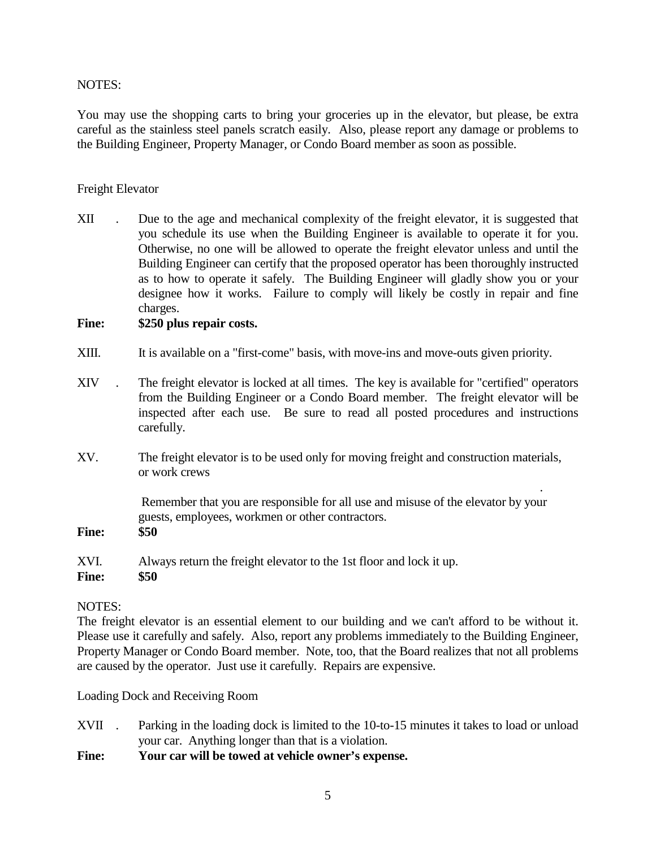#### NOTES:

You may use the shopping carts to bring your groceries up in the elevator, but please, be extra careful as the stainless steel panels scratch easily. Also, please report any damage or problems to the Building Engineer, Property Manager, or Condo Board member as soon as possible.

#### Freight Elevator

XII . Due to the age and mechanical complexity of the freight elevator, it is suggested that you schedule its use when the Building Engineer is available to operate it for you. Otherwise, no one will be allowed to operate the freight elevator unless and until the Building Engineer can certify that the proposed operator has been thoroughly instructed as to how to operate it safely. The Building Engineer will gladly show you or your designee how it works. Failure to comply will likely be costly in repair and fine charges.

#### **Fine: \$250 plus repair costs.**

- XIII. It is available on a "first-come" basis, with move-ins and move-outs given priority.
- XIV . The freight elevator is locked at all times. The key is available for "certified" operators from the Building Engineer or a Condo Board member. The freight elevator will be inspected after each use. Be sure to read all posted procedures and instructions carefully.
- XV. The freight elevator is to be used only for moving freight and construction materials, or work crews

Remember that you are responsible for all use and misuse of the elevator by your guests, employees, workmen or other contractors.

.

**Fine: \$50**

XVI. Always return the freight elevator to the 1st floor and lock it up.

#### **Fine: \$50**

# NOTES:

The freight elevator is an essential element to our building and we can't afford to be without it. Please use it carefully and safely. Also, report any problems immediately to the Building Engineer, Property Manager or Condo Board member. Note, too, that the Board realizes that not all problems are caused by the operator. Just use it carefully. Repairs are expensive.

Loading Dock and Receiving Room

- XVII . Parking in the loading dock is limited to the 10-to-15 minutes it takes to load or unload your car. Anything longer than that is a violation.
- **Fine: Your car will be towed at vehicle owner's expense.**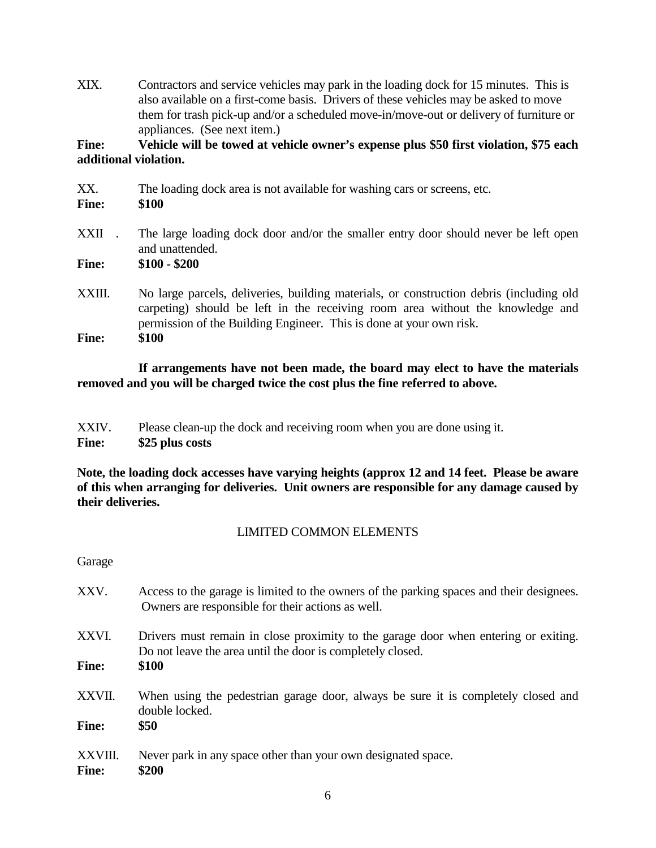XIX. Contractors and service vehicles may park in the loading dock for 15 minutes. This is also available on a first-come basis. Drivers of these vehicles may be asked to move them for trash pick-up and/or a scheduled move-in/move-out or delivery of furniture or appliances. (See next item.)

**Fine: Vehicle will be towed at vehicle owner's expense plus \$50 first violation, \$75 each additional violation.**

| XX.<br><b>Fine:</b> | The loading dock area is not available for washing cars or screens, etc.<br>\$100                                                                                                                                                                |
|---------------------|--------------------------------------------------------------------------------------------------------------------------------------------------------------------------------------------------------------------------------------------------|
| XXII                | The large loading dock door and/or the smaller entry door should never be left open<br>and unattended.                                                                                                                                           |
| <b>Fine:</b>        | $$100 - $200$                                                                                                                                                                                                                                    |
| XXIII.              | No large parcels, deliveries, building materials, or construction debris (including old<br>carpeting) should be left in the receiving room area without the knowledge and<br>permission of the Building Engineer. This is done at your own risk. |
| <b>Fine:</b>        | \$100                                                                                                                                                                                                                                            |

**If arrangements have not been made, the board may elect to have the materials removed and you will be charged twice the cost plus the fine referred to above.**

| XXIV.        | Please clean-up the dock and receiving room when you are done using it. |
|--------------|-------------------------------------------------------------------------|
| <b>Fine:</b> | \$25 plus costs                                                         |

**Note, the loading dock accesses have varying heights (approx 12 and 14 feet. Please be aware of this when arranging for deliveries. Unit owners are responsible for any damage caused by their deliveries.**

# LIMITED COMMON ELEMENTS

Garage

- XXV. Access to the garage is limited to the owners of the parking spaces and their designees. Owners are responsible for their actions as well.
- XXVI. Drivers must remain in close proximity to the garage door when entering or exiting. Do not leave the area until the door is completely closed.

**Fine: \$100**

- XXVII. When using the pedestrian garage door, always be sure it is completely closed and double locked.
- **Fine: \$50**
- XXVIII. Never park in any space other than your own designated space.

**Fine: \$200**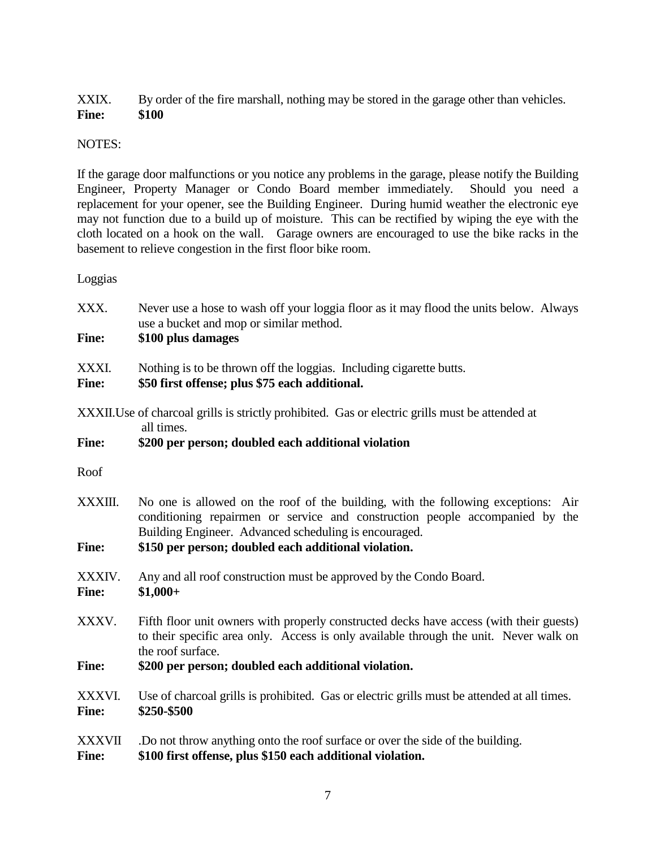XXIX. By order of the fire marshall, nothing may be stored in the garage other than vehicles. **Fine: \$100**

# NOTES:

If the garage door malfunctions or you notice any problems in the garage, please notify the Building Engineer, Property Manager or Condo Board member immediately. Should you need a replacement for your opener, see the Building Engineer. During humid weather the electronic eye may not function due to a build up of moisture. This can be rectified by wiping the eye with the cloth located on a hook on the wall. Garage owners are encouraged to use the bike racks in the basement to relieve congestion in the first floor bike room.

Loggias

| XXX.                          | Never use a hose to wash off your loggia floor as it may flood the units below. Always<br>use a bucket and mop or similar method.                                                                                          |  |
|-------------------------------|----------------------------------------------------------------------------------------------------------------------------------------------------------------------------------------------------------------------------|--|
| <b>Fine:</b>                  | \$100 plus damages                                                                                                                                                                                                         |  |
| XXXI.<br><b>Fine:</b>         | Nothing is to be thrown off the loggias. Including cigarette butts.<br>\$50 first offense; plus \$75 each additional.                                                                                                      |  |
|                               | XXXII. Use of charcoal grills is strictly prohibited. Gas or electric grills must be attended at<br>all times.                                                                                                             |  |
| <b>Fine:</b>                  | \$200 per person; doubled each additional violation                                                                                                                                                                        |  |
| Roof                          |                                                                                                                                                                                                                            |  |
| XXXIII.                       | No one is allowed on the roof of the building, with the following exceptions: Air<br>conditioning repairmen or service and construction people accompanied by the<br>Building Engineer. Advanced scheduling is encouraged. |  |
| <b>Fine:</b>                  | \$150 per person; doubled each additional violation.                                                                                                                                                                       |  |
| XXXIV.<br><b>Fine:</b>        | Any and all roof construction must be approved by the Condo Board.<br>$$1,000+$                                                                                                                                            |  |
| XXXV.                         | Fifth floor unit owners with properly constructed decks have access (with their guests)<br>to their specific area only. Access is only available through the unit. Never walk on<br>the roof surface.                      |  |
| <b>Fine:</b>                  | \$200 per person; doubled each additional violation.                                                                                                                                                                       |  |
| XXXVI.<br><b>Fine:</b>        | Use of charcoal grills is prohibited. Gas or electric grills must be attended at all times.<br>\$250-\$500                                                                                                                 |  |
| <b>XXXVII</b><br><b>Fine:</b> | .Do not throw anything onto the roof surface or over the side of the building.<br>\$100 first offense, plus \$150 each additional violation.                                                                               |  |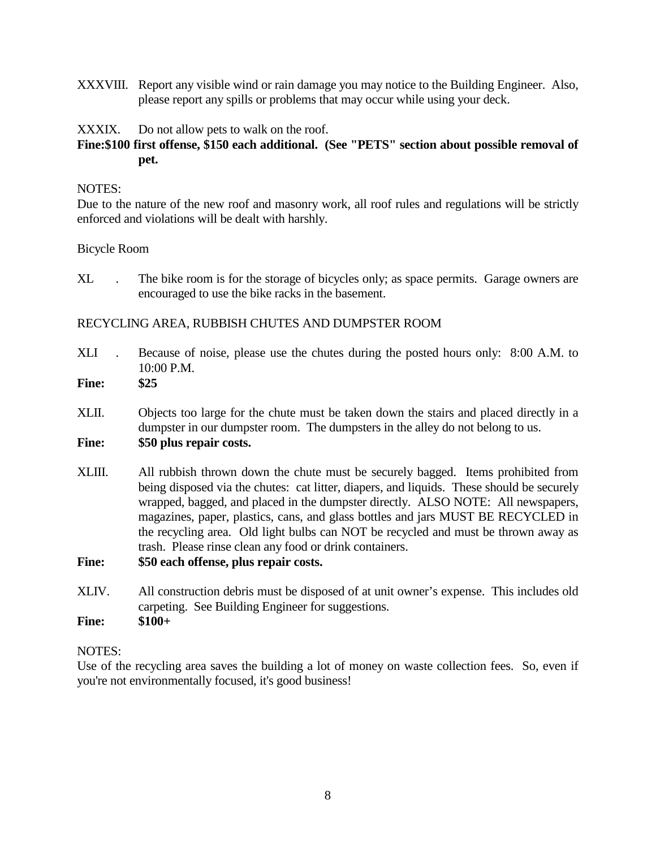XXXVIII. Report any visible wind or rain damage you may notice to the Building Engineer. Also, please report any spills or problems that may occur while using your deck.

#### XXXIX. Do not allow pets to walk on the roof.

# **Fine:\$100 first offense, \$150 each additional. (See "PETS" section about possible removal of pet.**

#### NOTES:

Due to the nature of the new roof and masonry work, all roof rules and regulations will be strictly enforced and violations will be dealt with harshly.

#### Bicycle Room

XL . The bike room is for the storage of bicycles only; as space permits. Garage owners are encouraged to use the bike racks in the basement.

# RECYCLING AREA, RUBBISH CHUTES AND DUMPSTER ROOM

XLI . Because of noise, please use the chutes during the posted hours only: 8:00 A.M. to 10:00 P.M.

# **Fine: \$25**

XLII. Objects too large for the chute must be taken down the stairs and placed directly in a dumpster in our dumpster room. The dumpsters in the alley do not belong to us. **Fine: \$50 plus repair costs.**

XLIII. All rubbish thrown down the chute must be securely bagged. Items prohibited from being disposed via the chutes: cat litter, diapers, and liquids. These should be securely wrapped, bagged, and placed in the dumpster directly. ALSO NOTE: All newspapers, magazines, paper, plastics, cans, and glass bottles and jars MUST BE RECYCLED in the recycling area. Old light bulbs can NOT be recycled and must be thrown away as trash. Please rinse clean any food or drink containers.

# **Fine: \$50 each offense, plus repair costs.**

XLIV. All construction debris must be disposed of at unit owner's expense. This includes old carpeting. See Building Engineer for suggestions.

**Fine: \$100+**

# NOTES:

Use of the recycling area saves the building a lot of money on waste collection fees. So, even if you're not environmentally focused, it's good business!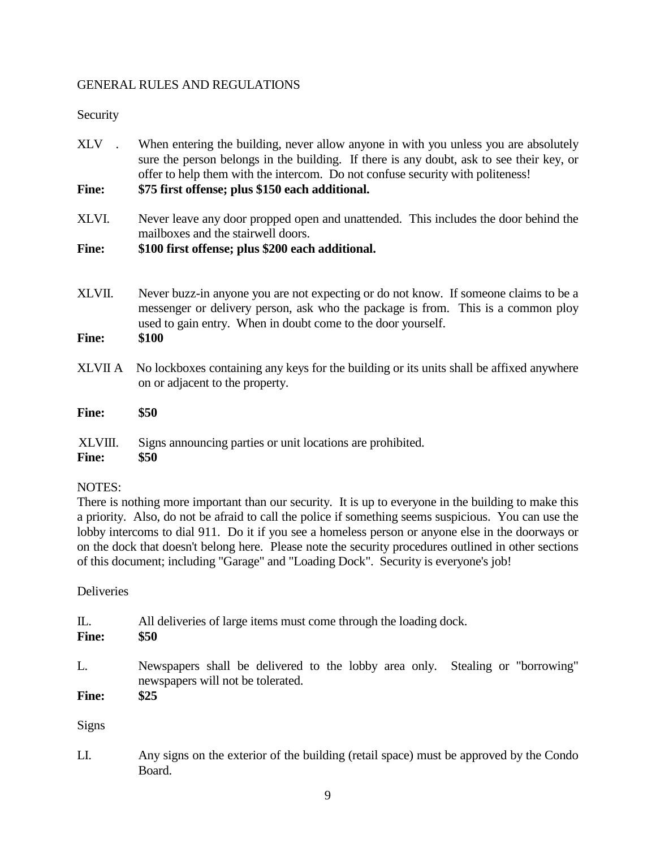# GENERAL RULES AND REGULATIONS

# Security

- XLV . When entering the building, never allow anyone in with you unless you are absolutely sure the person belongs in the building. If there is any doubt, ask to see their key, or offer to help them with the intercom. Do not confuse security with politeness! **Fine: \$75 first offense; plus \$150 each additional.**
- XLVI. Never leave any door propped open and unattended. This includes the door behind the mailboxes and the stairwell doors.

# **Fine: \$100 first offense; plus \$200 each additional.**

- XLVII. Never buzz-in anyone you are not expecting or do not know. If someone claims to be a messenger or delivery person, ask who the package is from. This is a common ploy used to gain entry. When in doubt come to the door yourself.
- **Fine: \$100**
- XLVII A No lockboxes containing any keys for the building or its units shall be affixed anywhere on or adjacent to the property.

**Fine: \$50**

XLVIII. Signs announcing parties or unit locations are prohibited.

#### **Fine: \$50**

# NOTES:

There is nothing more important than our security. It is up to everyone in the building to make this a priority. Also, do not be afraid to call the police if something seems suspicious. You can use the lobby intercoms to dial 911. Do it if you see a homeless person or anyone else in the doorways or on the dock that doesn't belong here. Please note the security procedures outlined in other sections of this document; including "Garage" and "Loading Dock". Security is everyone's job!

**Deliveries** 

| Ш.<br><b>Fine:</b> | All deliveries of large items must come through the loading dock.<br>\$50                                          |  |
|--------------------|--------------------------------------------------------------------------------------------------------------------|--|
| L.                 | Newspapers shall be delivered to the lobby area only. Stealing or "borrowing"<br>newspapers will not be tolerated. |  |
| <b>Fine:</b>       | \$25                                                                                                               |  |
| <b>Signs</b>       |                                                                                                                    |  |

LI. Any signs on the exterior of the building (retail space) must be approved by the Condo Board.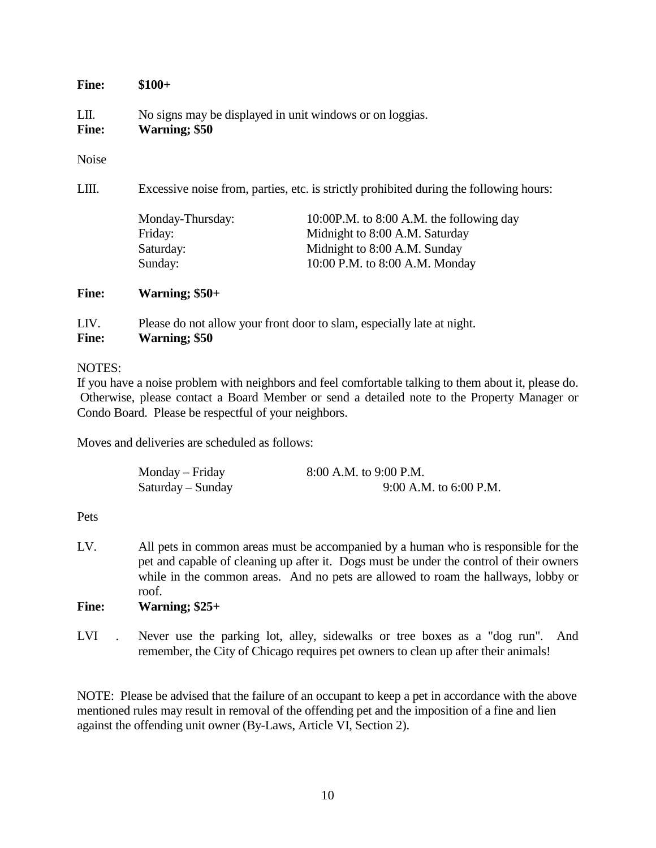#### **Fine: \$100+**

LII. No signs may be displayed in unit windows or on loggias.

# **Fine: Warning; \$50**

Noise

LIII. Excessive noise from, parties, etc. is strictly prohibited during the following hours:

| Monday-Thursday: | 10:00P.M. to 8:00 A.M. the following day |
|------------------|------------------------------------------|
| Friday:          | Midnight to 8:00 A.M. Saturday           |
| Saturday:        | Midnight to 8:00 A.M. Sunday             |
| Sunday:          | 10:00 P.M. to 8:00 A.M. Monday           |

# **Fine: Warning; \$50+**

LIV. Please do not allow your front door to slam, especially late at night. **Fine: Warning; \$50**

#### NOTES:

If you have a noise problem with neighbors and feel comfortable talking to them about it, please do. Otherwise, please contact a Board Member or send a detailed note to the Property Manager or Condo Board. Please be respectful of your neighbors.

Moves and deliveries are scheduled as follows:

| Monday – Friday   | 8:00 A.M. to 9:00 P.M.   |
|-------------------|--------------------------|
| $Saturday-Sunday$ | $9:00$ A.M. to 6:00 P.M. |

# Pets

LV. All pets in common areas must be accompanied by a human who is responsible for the pet and capable of cleaning up after it. Dogs must be under the control of their owners while in the common areas. And no pets are allowed to roam the hallways, lobby or roof.

# **Fine: Warning; \$25+**

LVI . Never use the parking lot, alley, sidewalks or tree boxes as a "dog run". And remember, the City of Chicago requires pet owners to clean up after their animals!

NOTE: Please be advised that the failure of an occupant to keep a pet in accordance with the above mentioned rules may result in removal of the offending pet and the imposition of a fine and lien against the offending unit owner (By-Laws, Article VI, Section 2).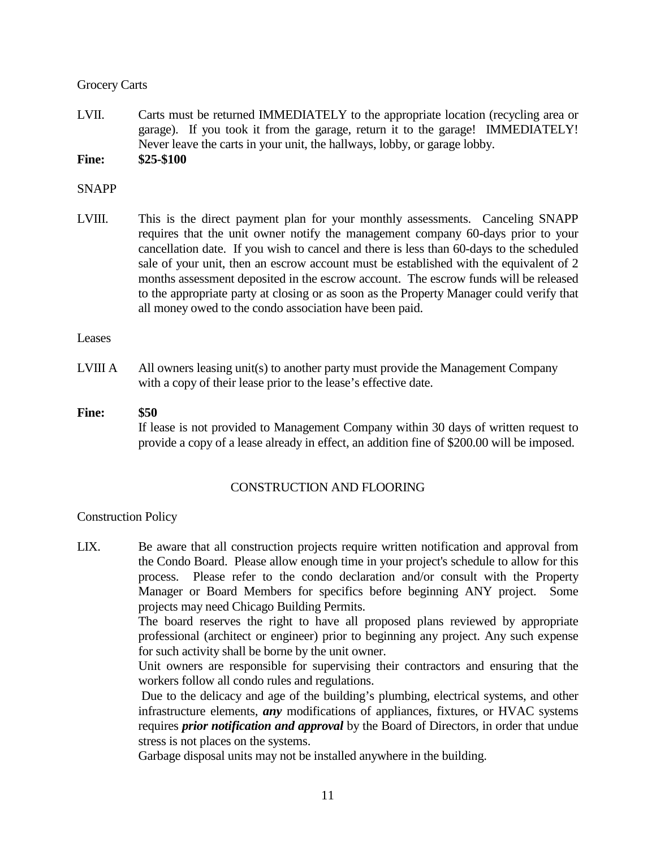# Grocery Carts

LVII. Carts must be returned IMMEDIATELY to the appropriate location (recycling area or garage). If you took it from the garage, return it to the garage! IMMEDIATELY! Never leave the carts in your unit, the hallways, lobby, or garage lobby.

**Fine: \$25-\$100**

# SNAPP

LVIII. This is the direct payment plan for your monthly assessments. Canceling SNAPP requires that the unit owner notify the management company 60-days prior to your cancellation date. If you wish to cancel and there is less than 60-days to the scheduled sale of your unit, then an escrow account must be established with the equivalent of 2 months assessment deposited in the escrow account. The escrow funds will be released to the appropriate party at closing or as soon as the Property Manager could verify that all money owed to the condo association have been paid.

#### Leases

LVIII A  $\blacksquare$  All owners leasing unit(s) to another party must provide the Management Company with a copy of their lease prior to the lease's effective date.

# **Fine: \$50** If lease is not provided to Management Company within 30 days of written request to provide a copy of a lease already in effect, an addition fine of \$200.00 will be imposed.

# CONSTRUCTION AND FLOORING

# Construction Policy

LIX. Be aware that all construction projects require written notification and approval from the Condo Board. Please allow enough time in your project's schedule to allow for this process. Please refer to the condo declaration and/or consult with the Property Manager or Board Members for specifics before beginning ANY project. Some projects may need Chicago Building Permits.

> The board reserves the right to have all proposed plans reviewed by appropriate professional (architect or engineer) prior to beginning any project. Any such expense for such activity shall be borne by the unit owner.

> Unit owners are responsible for supervising their contractors and ensuring that the workers follow all condo rules and regulations.

> Due to the delicacy and age of the building's plumbing, electrical systems, and other infrastructure elements, *any* modifications of appliances, fixtures, or HVAC systems requires *prior notification and approval* by the Board of Directors, in order that undue stress is not places on the systems.

Garbage disposal units may not be installed anywhere in the building.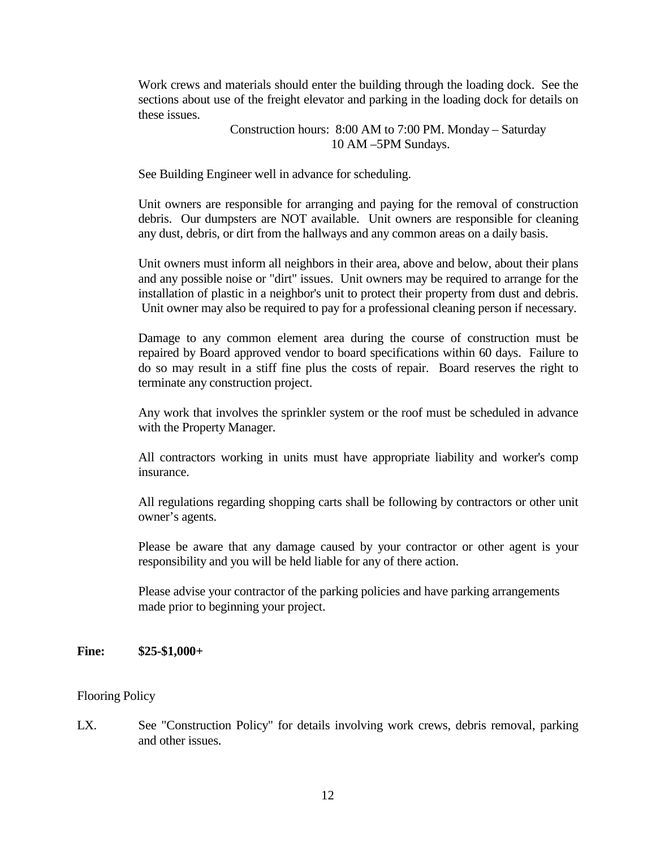Work crews and materials should enter the building through the loading dock. See the sections about use of the freight elevator and parking in the loading dock for details on these issues.

> Construction hours: 8:00 AM to 7:00 PM. Monday – Saturday 10 AM –5PM Sundays.

See Building Engineer well in advance for scheduling.

Unit owners are responsible for arranging and paying for the removal of construction debris. Our dumpsters are NOT available. Unit owners are responsible for cleaning any dust, debris, or dirt from the hallways and any common areas on a daily basis.

Unit owners must inform all neighbors in their area, above and below, about their plans and any possible noise or "dirt" issues. Unit owners may be required to arrange for the installation of plastic in a neighbor's unit to protect their property from dust and debris. Unit owner may also be required to pay for a professional cleaning person if necessary.

Damage to any common element area during the course of construction must be repaired by Board approved vendor to board specifications within 60 days. Failure to do so may result in a stiff fine plus the costs of repair. Board reserves the right to terminate any construction project.

Any work that involves the sprinkler system or the roof must be scheduled in advance with the Property Manager.

All contractors working in units must have appropriate liability and worker's comp insurance.

All regulations regarding shopping carts shall be following by contractors or other unit owner's agents.

Please be aware that any damage caused by your contractor or other agent is your responsibility and you will be held liable for any of there action.

Please advise your contractor of the parking policies and have parking arrangements made prior to beginning your project.

#### **Fine: \$25-\$1,000+**

#### Flooring Policy

LX. See "Construction Policy" for details involving work crews, debris removal, parking and other issues.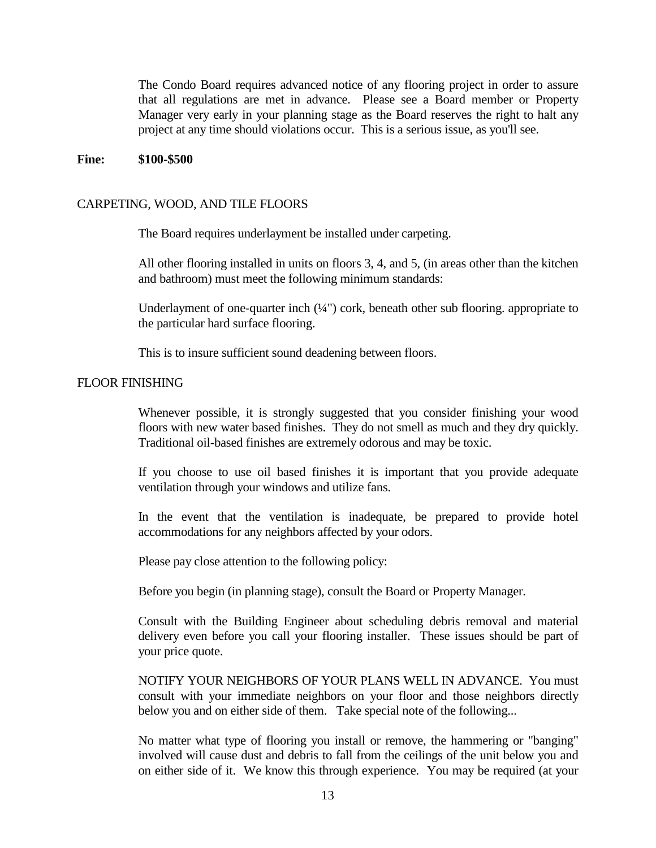The Condo Board requires advanced notice of any flooring project in order to assure that all regulations are met in advance. Please see a Board member or Property Manager very early in your planning stage as the Board reserves the right to halt any project at any time should violations occur. This is a serious issue, as you'll see.

#### **Fine: \$100-\$500**

#### CARPETING, WOOD, AND TILE FLOORS

The Board requires underlayment be installed under carpeting.

All other flooring installed in units on floors 3, 4, and 5, (in areas other than the kitchen and bathroom) must meet the following minimum standards:

Underlayment of one-quarter inch  $(\frac{1}{4})$  cork, beneath other sub flooring. appropriate to the particular hard surface flooring.

This is to insure sufficient sound deadening between floors.

#### FLOOR FINISHING

Whenever possible, it is strongly suggested that you consider finishing your wood floors with new water based finishes. They do not smell as much and they dry quickly. Traditional oil-based finishes are extremely odorous and may be toxic.

If you choose to use oil based finishes it is important that you provide adequate ventilation through your windows and utilize fans.

In the event that the ventilation is inadequate, be prepared to provide hotel accommodations for any neighbors affected by your odors.

Please pay close attention to the following policy:

Before you begin (in planning stage), consult the Board or Property Manager.

Consult with the Building Engineer about scheduling debris removal and material delivery even before you call your flooring installer. These issues should be part of your price quote.

NOTIFY YOUR NEIGHBORS OF YOUR PLANS WELL IN ADVANCE. You must consult with your immediate neighbors on your floor and those neighbors directly below you and on either side of them. Take special note of the following...

No matter what type of flooring you install or remove, the hammering or "banging" involved will cause dust and debris to fall from the ceilings of the unit below you and on either side of it. We know this through experience. You may be required (at your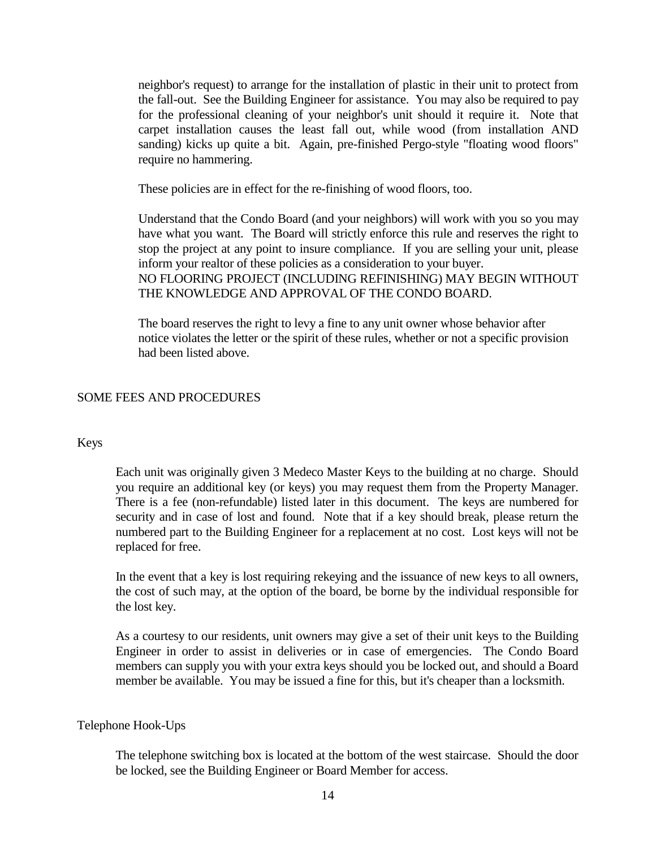neighbor's request) to arrange for the installation of plastic in their unit to protect from the fall-out. See the Building Engineer for assistance. You may also be required to pay for the professional cleaning of your neighbor's unit should it require it. Note that carpet installation causes the least fall out, while wood (from installation AND sanding) kicks up quite a bit. Again, pre-finished Pergo-style "floating wood floors" require no hammering.

These policies are in effect for the re-finishing of wood floors, too.

Understand that the Condo Board (and your neighbors) will work with you so you may have what you want. The Board will strictly enforce this rule and reserves the right to stop the project at any point to insure compliance. If you are selling your unit, please inform your realtor of these policies as a consideration to your buyer. NO FLOORING PROJECT (INCLUDING REFINISHING) MAY BEGIN WITHOUT THE KNOWLEDGE AND APPROVAL OF THE CONDO BOARD.

The board reserves the right to levy a fine to any unit owner whose behavior after notice violates the letter or the spirit of these rules, whether or not a specific provision had been listed above.

#### SOME FEES AND PROCEDURES

#### Keys

Each unit was originally given 3 Medeco Master Keys to the building at no charge. Should you require an additional key (or keys) you may request them from the Property Manager. There is a fee (non-refundable) listed later in this document. The keys are numbered for security and in case of lost and found. Note that if a key should break, please return the numbered part to the Building Engineer for a replacement at no cost. Lost keys will not be replaced for free.

In the event that a key is lost requiring rekeying and the issuance of new keys to all owners, the cost of such may, at the option of the board, be borne by the individual responsible for the lost key.

As a courtesy to our residents, unit owners may give a set of their unit keys to the Building Engineer in order to assist in deliveries or in case of emergencies. The Condo Board members can supply you with your extra keys should you be locked out, and should a Board member be available. You may be issued a fine for this, but it's cheaper than a locksmith.

#### Telephone Hook-Ups

The telephone switching box is located at the bottom of the west staircase. Should the door be locked, see the Building Engineer or Board Member for access.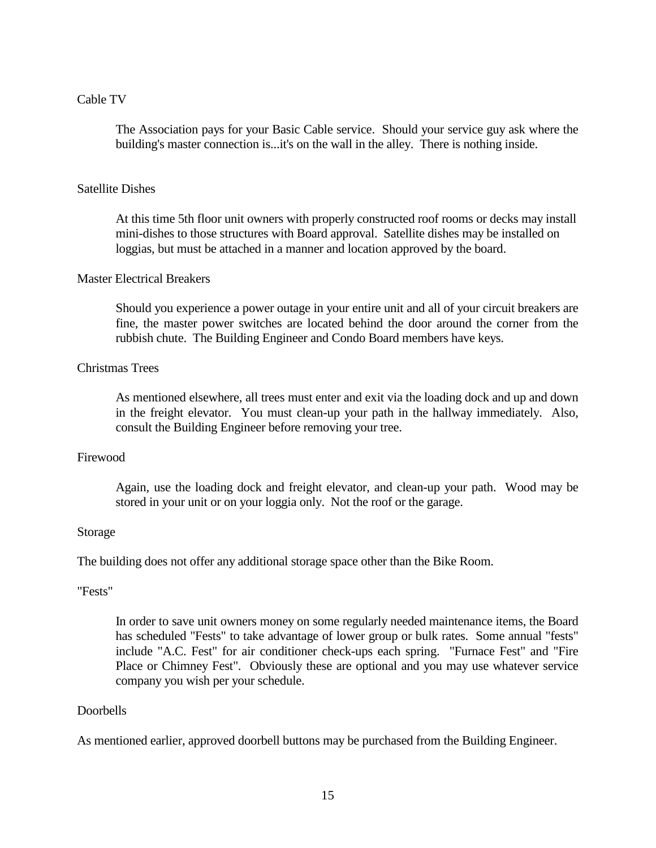#### Cable TV

The Association pays for your Basic Cable service. Should your service guy ask where the building's master connection is...it's on the wall in the alley. There is nothing inside.

#### Satellite Dishes

At this time 5th floor unit owners with properly constructed roof rooms or decks may install mini-dishes to those structures with Board approval. Satellite dishes may be installed on loggias, but must be attached in a manner and location approved by the board.

#### Master Electrical Breakers

Should you experience a power outage in your entire unit and all of your circuit breakers are fine, the master power switches are located behind the door around the corner from the rubbish chute. The Building Engineer and Condo Board members have keys.

# Christmas Trees

As mentioned elsewhere, all trees must enter and exit via the loading dock and up and down in the freight elevator. You must clean-up your path in the hallway immediately. Also, consult the Building Engineer before removing your tree.

#### Firewood

Again, use the loading dock and freight elevator, and clean-up your path. Wood may be stored in your unit or on your loggia only. Not the roof or the garage.

#### Storage

The building does not offer any additional storage space other than the Bike Room.

#### "Fests"

In order to save unit owners money on some regularly needed maintenance items, the Board has scheduled "Fests" to take advantage of lower group or bulk rates. Some annual "fests" include "A.C. Fest" for air conditioner check-ups each spring. "Furnace Fest" and "Fire Place or Chimney Fest". Obviously these are optional and you may use whatever service company you wish per your schedule.

#### Doorbells

As mentioned earlier, approved doorbell buttons may be purchased from the Building Engineer.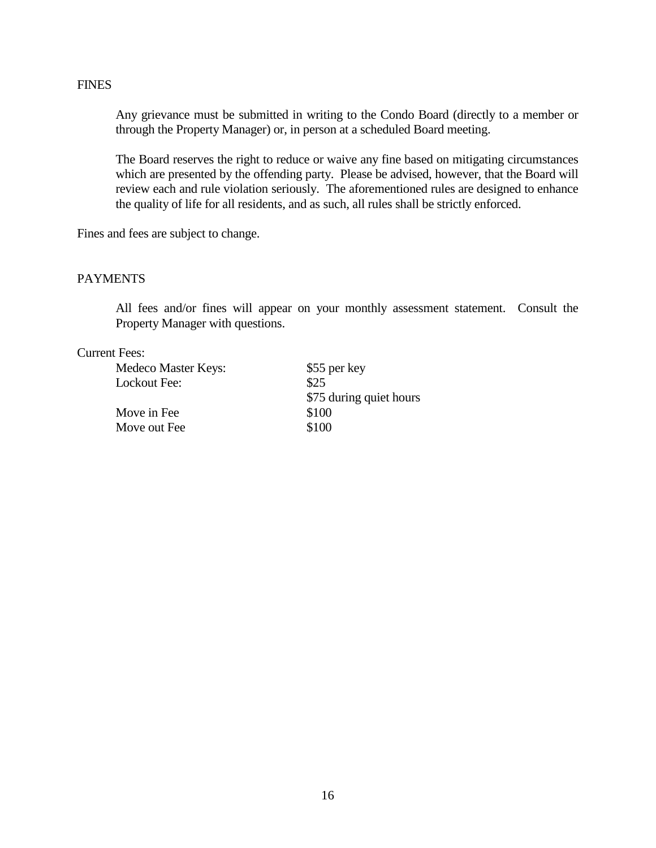#### FINES

Any grievance must be submitted in writing to the Condo Board (directly to a member or through the Property Manager) or, in person at a scheduled Board meeting.

The Board reserves the right to reduce or waive any fine based on mitigating circumstances which are presented by the offending party. Please be advised, however, that the Board will review each and rule violation seriously. The aforementioned rules are designed to enhance the quality of life for all residents, and as such, all rules shall be strictly enforced.

Fines and fees are subject to change.

#### PAYMENTS

All fees and/or fines will appear on your monthly assessment statement. Consult the Property Manager with questions.

#### Current Fees:

| Medeco Master Keys: | \$55 per key            |
|---------------------|-------------------------|
| Lockout Fee:        | \$25                    |
|                     | \$75 during quiet hours |
| Move in Fee         | \$100                   |
| Move out Fee        | \$100                   |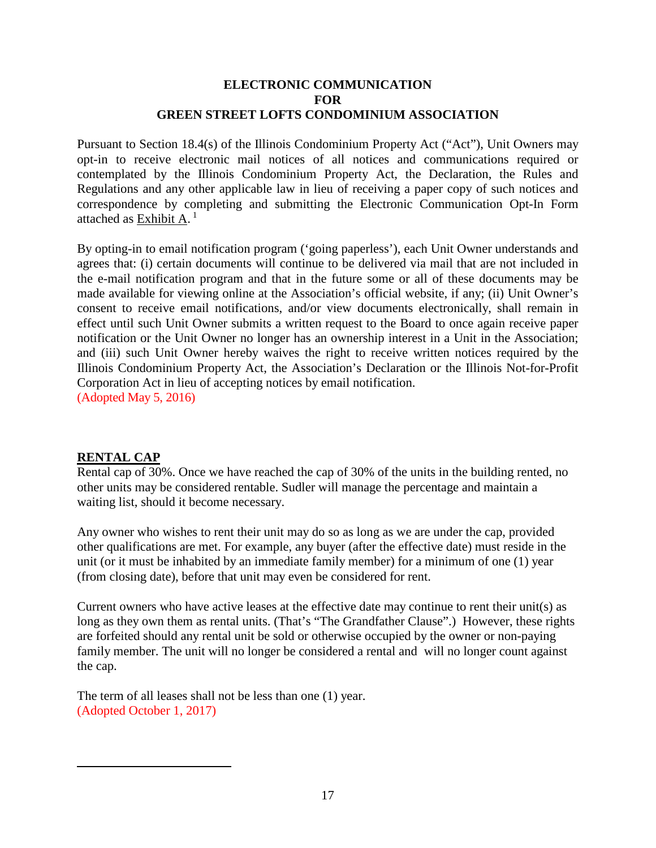# **ELECTRONIC COMMUNICATION FOR GREEN STREET LOFTS CONDOMINIUM ASSOCIATION**

Pursuant to Section 18.4(s) of the Illinois Condominium Property Act ("Act"), Unit Owners may opt-in to receive electronic mail notices of all notices and communications required or contemplated by the Illinois Condominium Property Act, the Declaration, the Rules and Regulations and any other applicable law in lieu of receiving a paper copy of such notices and correspondence by completing and submitting the Electronic Communication Opt-In Form attached as Exhibit A. $<sup>1</sup>$ </sup>

By opting-in to email notification program ('going paperless'), each Unit Owner understands and agrees that: (i) certain documents will continue to be delivered via mail that are not included in the e-mail notification program and that in the future some or all of these documents may be made available for viewing online at the Association's official website, if any; (ii) Unit Owner's consent to receive email notifications, and/or view documents electronically, shall remain in effect until such Unit Owner submits a written request to the Board to once again receive paper notification or the Unit Owner no longer has an ownership interest in a Unit in the Association; and (iii) such Unit Owner hereby waives the right to receive written notices required by the Illinois Condominium Property Act, the Association's Declaration or the Illinois Not-for-Profit Corporation Act in lieu of accepting notices by email notification. (Adopted May 5, 2016)

# **RENTAL CAP**

Rental cap of 30%. Once we have reached the cap of 30% of the units in the building rented, no other units may be considered rentable. Sudler will manage the percentage and maintain a waiting list, should it become necessary.

Any owner who wishes to rent their unit may do so as long as we are under the cap, provided other qualifications are met. For example, any buyer (after the effective date) must reside in the unit (or it must be inhabited by an immediate family member) for a minimum of one (1) year (from closing date), before that unit may even be considered for rent.

Current owners who have active leases at the effective date may continue to rent their unit(s) as long as they own them as rental units. (That's "The Grandfather Clause".) However, these rights are forfeited should any rental unit be sold or otherwise occupied by the owner or non-paying family member. The unit will no longer be considered a rental and will no longer count against the cap.

The term of all leases shall not be less than one (1) year. (Adopted October 1, 2017)